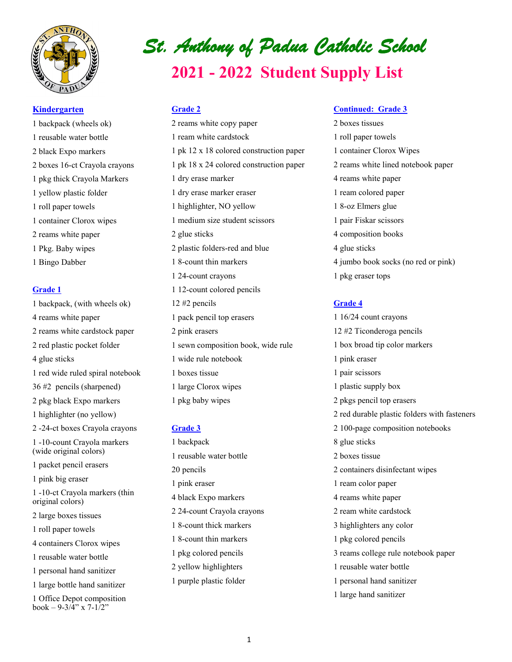

#### **Kindergarten**

1 backpack (wheels ok) 1 reusable water bottle 2 black Expo markers 2 boxes 16-ct Crayola crayons 1 pkg thick Crayola Markers 1 yellow plastic folder 1 roll paper towels 1 container Clorox wipes 2 reams white paper 1 Pkg. Baby wipes 1 Bingo Dabber

# **Grade 1**

1 backpack, (with wheels ok) 4 reams white paper 2 reams white cardstock paper 2 red plastic pocket folder 4 glue sticks 1 red wide ruled spiral notebook 36 #2 pencils (sharpened) 2 pkg black Expo markers 1 highlighter (no yellow) 2 -24-ct boxes Crayola crayons 1 -10-count Crayola markers (wide original colors) 1 packet pencil erasers 1 pink big eraser 1 -10-ct Crayola markers (thin original colors) 2 large boxes tissues 1 roll paper towels 4 containers Clorox wipes 1 reusable water bottle 1 personal hand sanitizer 1 large bottle hand sanitizer 1 Office Depot composition book – 9-3/4" x 7-1/2"

# *St. Anthony of Padua Catholic School*  **2021 - 2022 Student Supply List**

# **Grade 2**

2 reams white copy paper 1 ream white cardstock 1 pk 12 x 18 colored construction paper 1 pk 18 x 24 colored construction paper 1 dry erase marker 1 dry erase marker eraser 1 highlighter, NO yellow 1 medium size student scissors 2 glue sticks 2 plastic folders-red and blue 1 8-count thin markers 1 24-count crayons 1 12-count colored pencils 12 #2 pencils 1 pack pencil top erasers 2 pink erasers 1 sewn composition book, wide rule 1 wide rule notebook 1 boxes tissue 1 large Clorox wipes 1 pkg baby wipes

#### **Grade 3**

1 backpack 1 reusable water bottle 20 pencils 1 pink eraser 4 black Expo markers 2 24-count Crayola crayons 1 8-count thick markers 1 8-count thin markers 1 pkg colored pencils 2 yellow highlighters 1 purple plastic folder

#### **Continued: Grade 3**

2 boxes tissues 1 roll paper towels 1 container Clorox Wipes 2 reams white lined notebook paper 4 reams white paper 1 ream colored paper 1 8-oz Elmers glue 1 pair Fiskar scissors 4 composition books 4 glue sticks 4 jumbo book socks (no red or pink) 1 pkg eraser tops

# **Grade 4**

1 16/24 count crayons 12 #2 Ticonderoga pencils 1 box broad tip color markers 1 pink eraser 1 pair scissors 1 plastic supply box 2 pkgs pencil top erasers 2 red durable plastic folders with fasteners 2 100-page composition notebooks 8 glue sticks 2 boxes tissue 2 containers disinfectant wipes 1 ream color paper 4 reams white paper 2 ream white cardstock 3 highlighters any color 1 pkg colored pencils 3 reams college rule notebook paper 1 reusable water bottle 1 personal hand sanitizer 1 large hand sanitizer